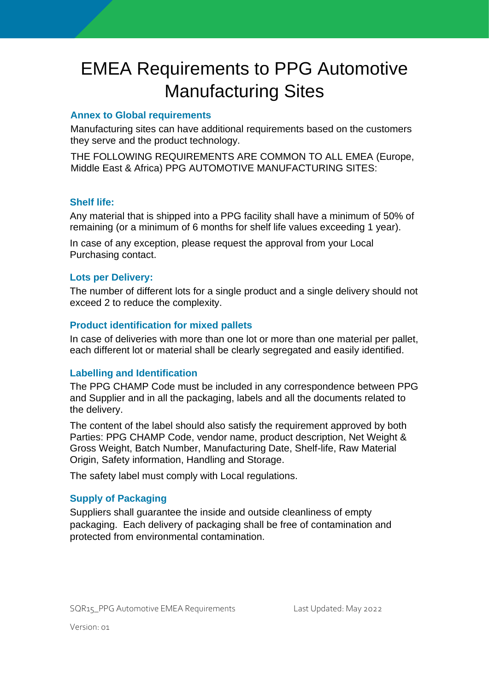# EMEA Requirements to PPG Automotive Manufacturing Sites

## **Annex to Global requirements**

Manufacturing sites can have additional requirements based on the customers they serve and the product technology.

THE FOLLOWING REQUIREMENTS ARE COMMON TO ALL EMEA (Europe, Middle East & Africa) PPG AUTOMOTIVE MANUFACTURING SITES:

#### **Shelf life:**

Any material that is shipped into a PPG facility shall have a minimum of 50% of remaining (or a minimum of 6 months for shelf life values exceeding 1 year).

In case of any exception, please request the approval from your Local Purchasing contact.

## **Lots per Delivery:**

The number of different lots for a single product and a single delivery should not exceed 2 to reduce the complexity.

## **Product identification for mixed pallets**

In case of deliveries with more than one lot or more than one material per pallet, each different lot or material shall be clearly segregated and easily identified.

## **Labelling and Identification**

The PPG CHAMP Code must be included in any correspondence between PPG and Supplier and in all the packaging, labels and all the documents related to the delivery.

The content of the label should also satisfy the requirement approved by both Parties: PPG CHAMP Code, vendor name, product description, Net Weight & Gross Weight, Batch Number, Manufacturing Date, Shelf-life, Raw Material Origin, Safety information, Handling and Storage.

The safety label must comply with Local regulations.

# **Supply of Packaging**

Suppliers shall guarantee the inside and outside cleanliness of empty packaging. Each delivery of packaging shall be free of contamination and protected from environmental contamination.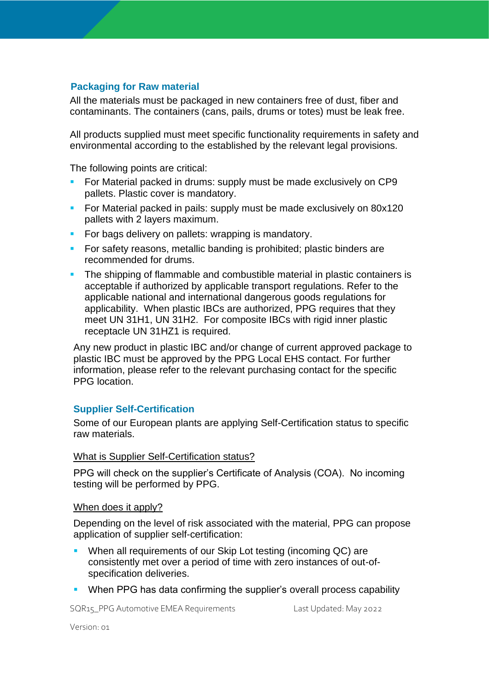## **Packaging for Raw material**

All the materials must be packaged in new containers free of dust, fiber and contaminants. The containers (cans, pails, drums or totes) must be leak free.

All products supplied must meet specific functionality requirements in safety and environmental according to the established by the relevant legal provisions.

The following points are critical:

- For Material packed in drums: supply must be made exclusively on CP9 pallets. Plastic cover is mandatory.
- **•** For Material packed in pails: supply must be made exclusively on 80x120 pallets with 2 layers maximum.
- **For bags delivery on pallets: wrapping is mandatory.**
- **For safety reasons, metallic banding is prohibited; plastic binders are** recommended for drums.
- **The shipping of flammable and combustible material in plastic containers is** acceptable if authorized by applicable transport regulations. Refer to the applicable national and international dangerous goods regulations for applicability. When plastic IBCs are authorized, PPG requires that they meet UN 31H1, UN 31H2. For composite IBCs with rigid inner plastic receptacle UN 31HZ1 is required.

Any new product in plastic IBC and/or change of current approved package to plastic IBC must be approved by the PPG Local EHS contact. For further information, please refer to the relevant purchasing contact for the specific PPG location.

#### **Supplier Self-Certification**

Some of our European plants are applying Self-Certification status to specific raw materials.

#### What is Supplier Self-Certification status?

PPG will check on the supplier's Certificate of Analysis (COA). No incoming testing will be performed by PPG.

#### When does it apply?

Depending on the level of risk associated with the material, PPG can propose application of supplier self-certification:

- When all requirements of our Skip Lot testing (incoming QC) are consistently met over a period of time with zero instances of out-ofspecification deliveries.
- When PPG has data confirming the supplier's overall process capability

SQR15 PPG Automotive EMEA Requirements Last Updated: May 2022

Version: 01